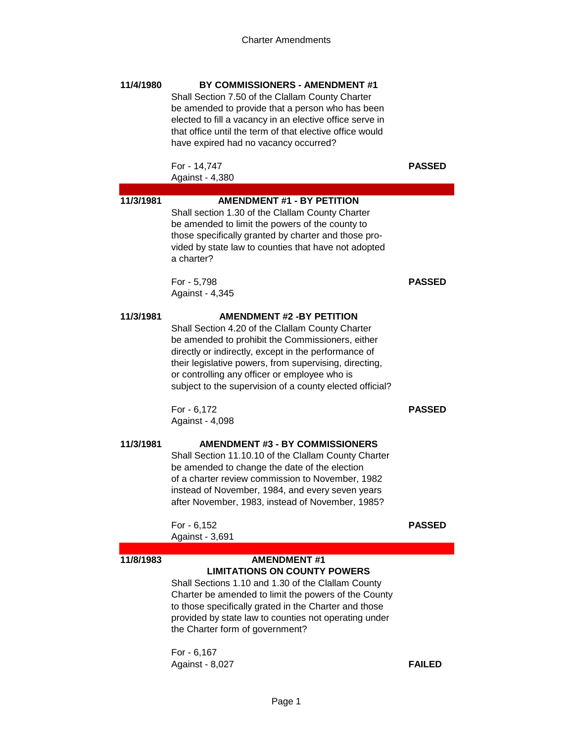| 11/4/1980 | BY COMMISSIONERS - AMENDMENT #1<br>Shall Section 7.50 of the Clallam County Charter<br>be amended to provide that a person who has been<br>elected to fill a vacancy in an elective office serve in<br>that office until the term of that elective office would<br>have expired had no vacancy occurred?                                                                |               |
|-----------|-------------------------------------------------------------------------------------------------------------------------------------------------------------------------------------------------------------------------------------------------------------------------------------------------------------------------------------------------------------------------|---------------|
|           | For - 14,747<br>Against - 4,380                                                                                                                                                                                                                                                                                                                                         | <b>PASSED</b> |
| 11/3/1981 | <b>AMENDMENT #1 - BY PETITION</b><br>Shall section 1.30 of the Clallam County Charter<br>be amended to limit the powers of the county to<br>those specifically granted by charter and those pro-<br>vided by state law to counties that have not adopted<br>a charter?                                                                                                  |               |
|           | For - 5,798<br>Against - 4,345                                                                                                                                                                                                                                                                                                                                          | <b>PASSED</b> |
| 11/3/1981 | <b>AMENDMENT #2 -BY PETITION</b><br>Shall Section 4.20 of the Clallam County Charter<br>be amended to prohibit the Commissioners, either<br>directly or indirectly, except in the performance of<br>their legislative powers, from supervising, directing,<br>or controlling any officer or employee who is<br>subject to the supervision of a county elected official? |               |
|           | For - 6,172<br>Against - 4,098                                                                                                                                                                                                                                                                                                                                          | <b>PASSED</b> |
| 11/3/1981 | <b>AMENDMENT #3 - BY COMMISSIONERS</b><br>Shall Section 11.10.10 of the Clallam County Charter<br>be amended to change the date of the election<br>of a charter review commission to November, 1982<br>instead of November, 1984, and every seven years<br>after November, 1983, instead of November, 1985?                                                             |               |
|           | For - 6,152<br>Against - 3,691                                                                                                                                                                                                                                                                                                                                          | <b>PASSED</b> |
| 11/8/1983 | <b>AMENDMENT #1</b><br><b>LIMITATIONS ON COUNTY POWERS</b><br>Shall Sections 1.10 and 1.30 of the Clallam County<br>Charter be amended to limit the powers of the County<br>to those specifically grated in the Charter and those<br>provided by state law to counties not operating under<br>the Charter form of government?                                           |               |
|           | For - 6,167<br>Against - 8,027                                                                                                                                                                                                                                                                                                                                          | <b>FAILED</b> |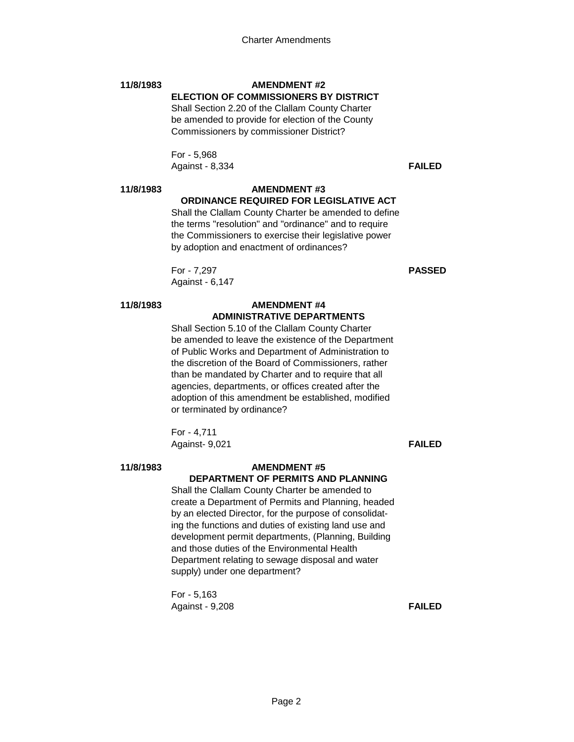# **11/8/1983 AMENDMENT #2 ELECTION OF COMMISSIONERS BY DISTRICT**

Shall Section 2.20 of the Clallam County Charter be amended to provide for election of the County Commissioners by commissioner District?

For - 5,968 Against - 8,334 **FAILED**

### **11/8/1983 AMENDMENT #3 ORDINANCE REQUIRED FOR LEGISLATIVE ACT**

Shall the Clallam County Charter be amended to define the terms "resolution" and "ordinance" and to require the Commissioners to exercise their legislative power by adoption and enactment of ordinances?

For - 7,297 **PASSED** Against - 6,147

### **11/8/1983 AMENDMENT #4 ADMINISTRATIVE DEPARTMENTS**

Shall Section 5.10 of the Clallam County Charter be amended to leave the existence of the Department of Public Works and Department of Administration to the discretion of the Board of Commissioners, rather than be mandated by Charter and to require that all agencies, departments, or offices created after the adoption of this amendment be established, modified or terminated by ordinance?

For - 4,711 Against- 9,021 **FAILED**

### **11/8/1983 AMENDMENT #5 DEPARTMENT OF PERMITS AND PLANNING**

Shall the Clallam County Charter be amended to create a Department of Permits and Planning, headed by an elected Director, for the purpose of consolidating the functions and duties of existing land use and development permit departments, (Planning, Building and those duties of the Environmental Health Department relating to sewage disposal and water supply) under one department?

For - 5,163 Against - 9,208 **FAILED**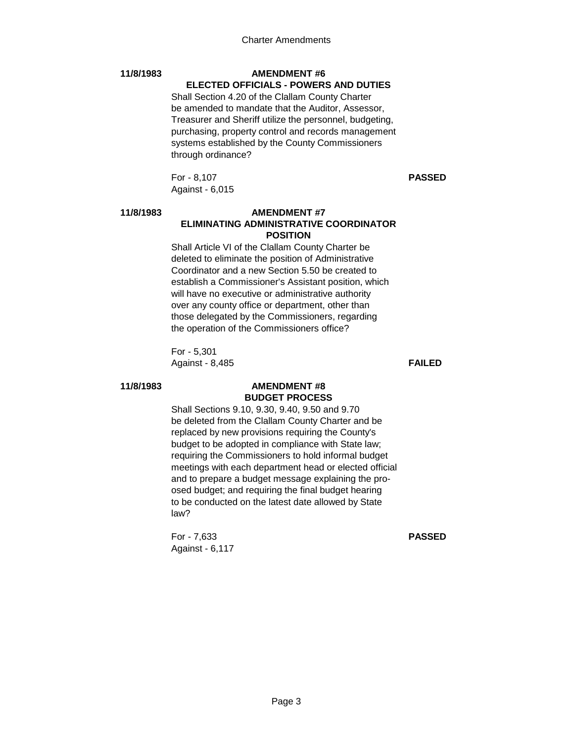# **11/8/1983 AMENDMENT #6**

# **ELECTED OFFICIALS - POWERS AND DUTIES**

Shall Section 4.20 of the Clallam County Charter be amended to mandate that the Auditor, Assessor, Treasurer and Sheriff utilize the personnel, budgeting, purchasing, property control and records management systems established by the County Commissioners through ordinance?

For - 8,107 **PASSED** Against - 6,015

## **11/8/1983 AMENDMENT #7 ELIMINATING ADMINISTRATIVE COORDINATOR POSITION**

Shall Article VI of the Clallam County Charter be deleted to eliminate the position of Administrative Coordinator and a new Section 5.50 be created to establish a Commissioner's Assistant position, which will have no executive or administrative authority over any county office or department, other than those delegated by the Commissioners, regarding the operation of the Commissioners office?

For - 5,301 Against - 8,485 **FAILED**

# **11/8/1983 AMENDMENT #8 BUDGET PROCESS**

Shall Sections 9.10, 9.30, 9.40, 9.50 and 9.70 be deleted from the Clallam County Charter and be replaced by new provisions requiring the County's budget to be adopted in compliance with State law; requiring the Commissioners to hold informal budget meetings with each department head or elected official and to prepare a budget message explaining the proosed budget; and requiring the final budget hearing to be conducted on the latest date allowed by State law?

For - 7,633 **PASSED** Against - 6,117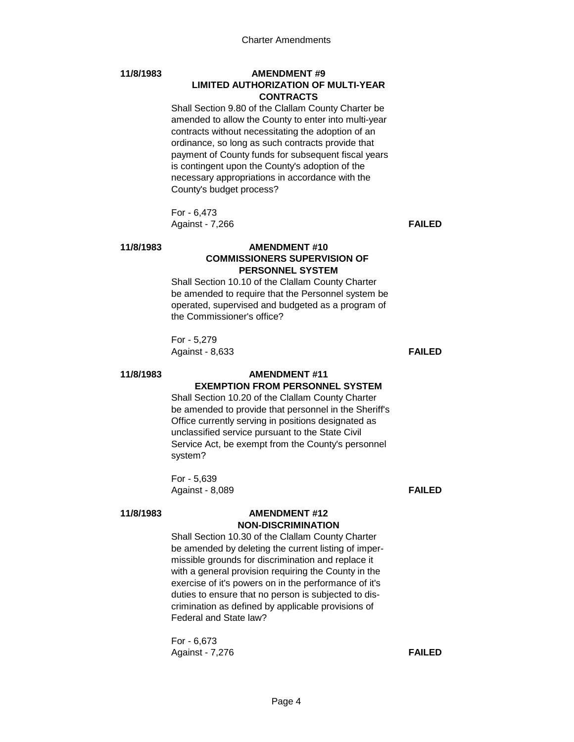# **11/8/1983 AMENDMENT #9 LIMITED AUTHORIZATION OF MULTI-YEAR CONTRACTS**

Shall Section 9.80 of the Clallam County Charter be amended to allow the County to enter into multi-year contracts without necessitating the adoption of an ordinance, so long as such contracts provide that payment of County funds for subsequent fiscal years is contingent upon the County's adoption of the necessary appropriations in accordance with the County's budget process?

For - 6,473 Against - 7,266 **FAILED**

# **11/8/1983 AMENDMENT #10 COMMISSIONERS SUPERVISION OF PERSONNEL SYSTEM**

Shall Section 10.10 of the Clallam County Charter be amended to require that the Personnel system be operated, supervised and budgeted as a program of the Commissioner's office?

For - 5,279 Against - 8,633 **FAILED**

### **11/8/1983 AMENDMENT #11 EXEMPTION FROM PERSONNEL SYSTEM**

Shall Section 10.20 of the Clallam County Charter be amended to provide that personnel in the Sheriff's Office currently serving in positions designated as unclassified service pursuant to the State Civil Service Act, be exempt from the County's personnel system?

For - 5,639 Against - 8,089 **FAILED**

### **11/8/1983 AMENDMENT #12 NON-DISCRIMINATION**

Shall Section 10.30 of the Clallam County Charter be amended by deleting the current listing of impermissible grounds for discrimination and replace it with a general provision requiring the County in the exercise of it's powers on in the performance of it's duties to ensure that no person is subjected to discrimination as defined by applicable provisions of Federal and State law?

For - 6,673 Against - 7,276 **FAILED**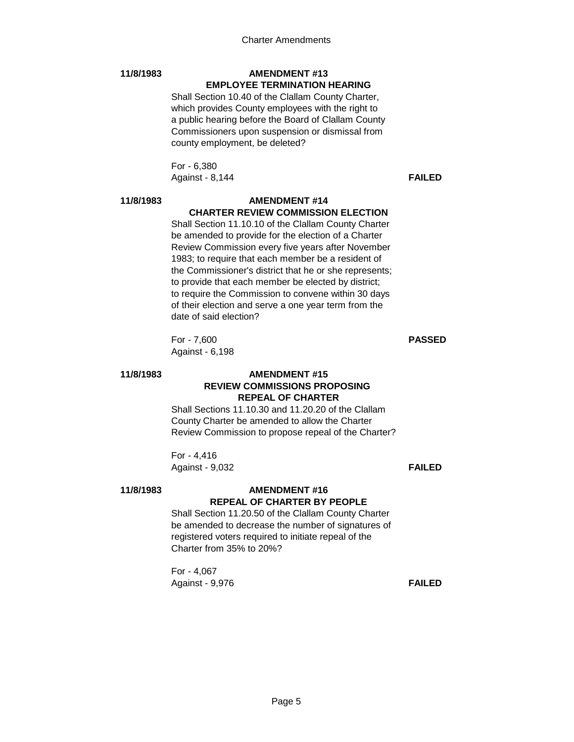# **11/8/1983 AMENDMENT #13 EMPLOYEE TERMINATION HEARING**

Shall Section 10.40 of the Clallam County Charter, which provides County employees with the right to a public hearing before the Board of Clallam County Commissioners upon suspension or dismissal from county employment, be deleted?

For - 6,380 Against - 8,144 **FAILED**

### **11/8/1983 AMENDMENT #14 CHARTER REVIEW COMMISSION ELECTION**

Shall Section 11.10.10 of the Clallam County Charter be amended to provide for the election of a Charter Review Commission every five years after November 1983; to require that each member be a resident of the Commissioner's district that he or she represents; to provide that each member be elected by district; to require the Commission to convene within 30 days of their election and serve a one year term from the date of said election?

For - 7,600 **PASSED** Against - 6,198

### **11/8/1983 AMENDMENT #15 REVIEW COMMISSIONS PROPOSING REPEAL OF CHARTER**

Shall Sections 11.10.30 and 11.20.20 of the Clallam County Charter be amended to allow the Charter Review Commission to propose repeal of the Charter?

For - 4,416 Against - 9,032 **FAILED**

# **11/8/1983 AMENDMENT #16 REPEAL OF CHARTER BY PEOPLE**

Shall Section 11.20.50 of the Clallam County Charter be amended to decrease the number of signatures of registered voters required to initiate repeal of the Charter from 35% to 20%?

For - 4,067 Against - 9,976 **FAILED**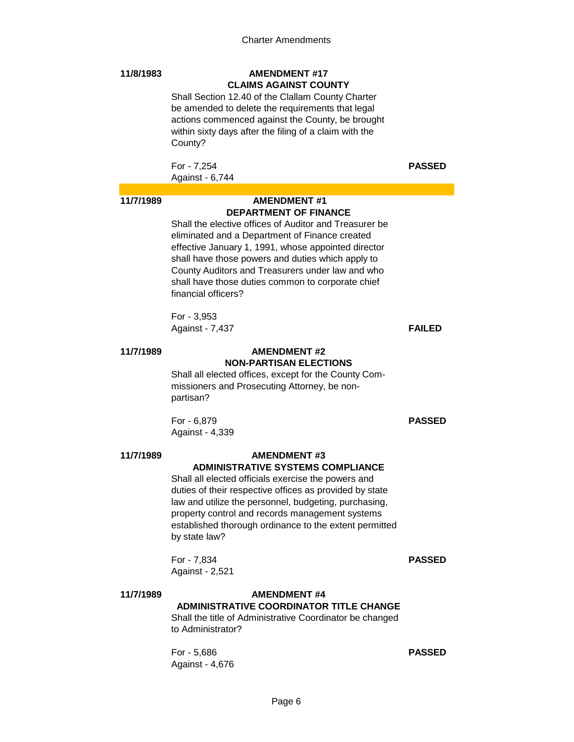# **11/8/1983 AMENDMENT #17 CLAIMS AGAINST COUNTY**

Shall Section 12.40 of the Clallam County Charter be amended to delete the requirements that legal actions commenced against the County, be brought within sixty days after the filing of a claim with the County?

For - 7,254 **PASSED** Against - 6,744

# **11/7/1989 AMENDMENT #1 DEPARTMENT OF FINANCE**

Shall the elective offices of Auditor and Treasurer be eliminated and a Department of Finance created effective January 1, 1991, whose appointed director shall have those powers and duties which apply to County Auditors and Treasurers under law and who shall have those duties common to corporate chief financial officers?

For - 3,953 Against - 7,437 **FAILED**

### **11/7/1989 AMENDMENT #2 NON-PARTISAN ELECTIONS**

Shall all elected offices, except for the County Commissioners and Prosecuting Attorney, be nonpartisan?

For - 6,879 **PASSED** Against - 4,339

### **11/7/1989 AMENDMENT #3 ADMINISTRATIVE SYSTEMS COMPLIANCE**

Shall all elected officials exercise the powers and duties of their respective offices as provided by state law and utilize the personnel, budgeting, purchasing, property control and records management systems established thorough ordinance to the extent permitted by state law?

For - 7,834 **PASSED** Against - 2,521

### **11/7/1989 AMENDMENT #4 ADMINISTRATIVE COORDINATOR TITLE CHANGE**

Shall the title of Administrative Coordinator be changed to Administrator?

For - 5,686 **PASSED** Against - 4,676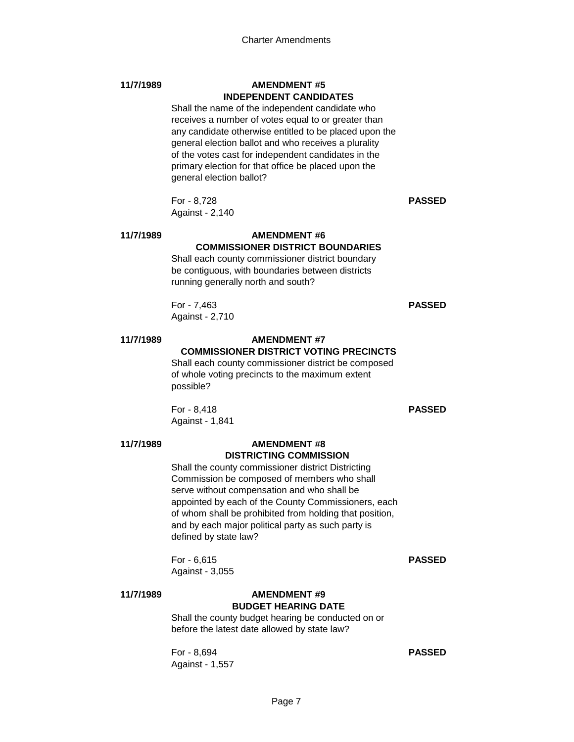### **11/7/1989 AMENDMENT #5 INDEPENDENT CANDIDATES**

Shall the name of the independent candidate who receives a number of votes equal to or greater than any candidate otherwise entitled to be placed upon the general election ballot and who receives a plurality of the votes cast for independent candidates in the primary election for that office be placed upon the general election ballot?

For - 8,728 **PASSED** Against - 2,140

### **11/7/1989 AMENDMENT #6**

# **COMMISSIONER DISTRICT BOUNDARIES**

Shall each county commissioner district boundary be contiguous, with boundaries between districts running generally north and south?

For - 7,463 **PASSED** Against - 2,710

# **11/7/1989 AMENDMENT #7**

**COMMISSIONER DISTRICT VOTING PRECINCTS** Shall each county commissioner district be composed of whole voting precincts to the maximum extent possible?

For - 8,418 **PASSED** Against - 1,841

### **11/7/1989 AMENDMENT #8 DISTRICTING COMMISSION**

Shall the county commissioner district Districting Commission be composed of members who shall serve without compensation and who shall be appointed by each of the County Commissioners, each of whom shall be prohibited from holding that position, and by each major political party as such party is defined by state law?

For - 6,615 **PASSED** Against - 3,055

### **11/7/1989 AMENDMENT #9 BUDGET HEARING DATE**

Shall the county budget hearing be conducted on or before the latest date allowed by state law?

For - 8,694 **PASSED** Against - 1,557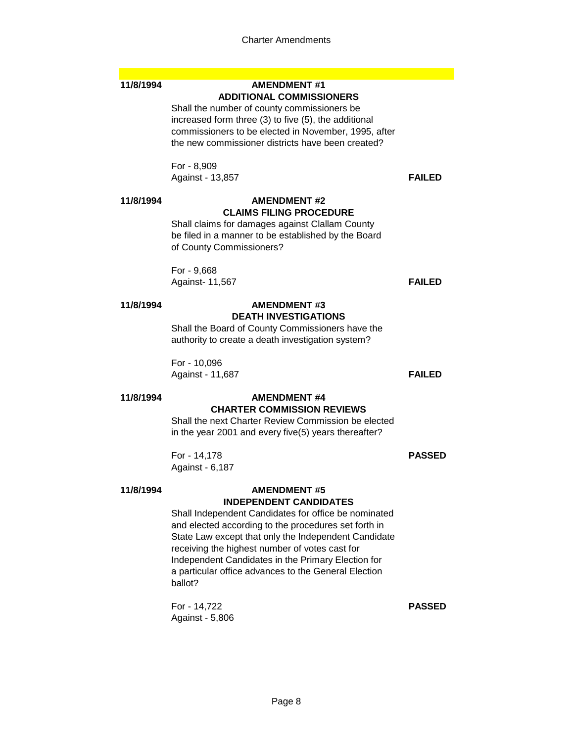### **11/8/1994 AMENDMENT #1 ADDITIONAL COMMISSIONERS**

Shall the number of county commissioners be increased form three (3) to five (5), the additional commissioners to be elected in November, 1995, after the new commissioner districts have been created?

For - 8,909 Against - 13,857 **FAILED**

# **11/8/1994 AMENDMENT #2 CLAIMS FILING PROCEDURE**

Shall claims for damages against Clallam County be filed in a manner to be established by the Board of County Commissioners?

For - 9,668 Against- 11,567 **FAILED**

### **11/8/1994 AMENDMENT #3 DEATH INVESTIGATIONS**

Shall the Board of County Commissioners have the authority to create a death investigation system?

For - 10,096 Against - 11,687 **FAILED**

### **11/8/1994 AMENDMENT #4 CHARTER COMMISSION REVIEWS**

Shall the next Charter Review Commission be elected in the year 2001 and every five(5) years thereafter?

For - 14,178 **PASSED** Against - 6,187

# **11/8/1994 AMENDMENT #5 INDEPENDENT CANDIDATES**

Shall Independent Candidates for office be nominated and elected according to the procedures set forth in State Law except that only the Independent Candidate receiving the highest number of votes cast for Independent Candidates in the Primary Election for a particular office advances to the General Election ballot?

For - 14,722 **PASSED** Against - 5,806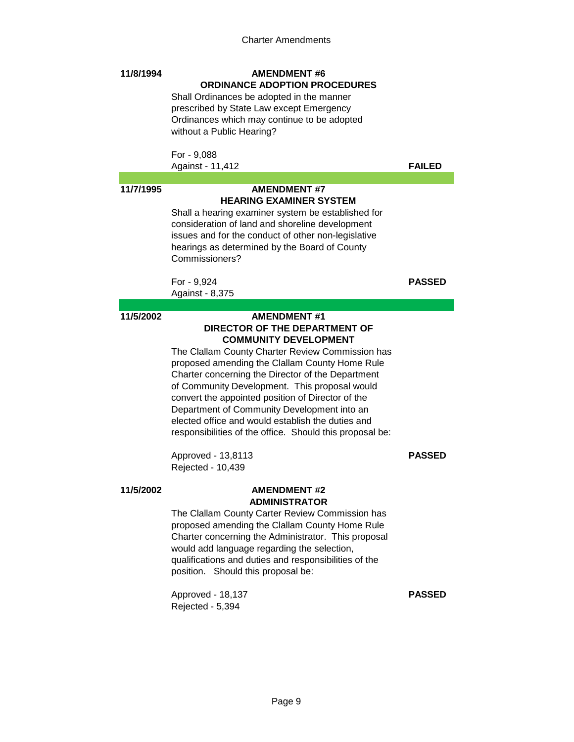### **11/8/1994 AMENDMENT #6 ORDINANCE ADOPTION PROCEDURES**

Shall Ordinances be adopted in the manner prescribed by State Law except Emergency Ordinances which may continue to be adopted without a Public Hearing?

For - 9,088 Against - 11,412 **FAILED**

# **11/7/1995 AMENDMENT #7 HEARING EXAMINER SYSTEM**

Shall a hearing examiner system be established for consideration of land and shoreline development issues and for the conduct of other non-legislative hearings as determined by the Board of County Commissioners?

For - 9,924 **PASSED** Against - 8,375

# **11/5/2002 AMENDMENT #1 DIRECTOR OF THE DEPARTMENT OF COMMUNITY DEVELOPMENT**

The Clallam County Charter Review Commission has proposed amending the Clallam County Home Rule Charter concerning the Director of the Department of Community Development. This proposal would convert the appointed position of Director of the Department of Community Development into an elected office and would establish the duties and responsibilities of the office. Should this proposal be:

Approved - 13,8113 **PASSED** Rejected - 10,439

### **11/5/2002 AMENDMENT #2 ADMINISTRATOR**

The Clallam County Carter Review Commission has proposed amending the Clallam County Home Rule Charter concerning the Administrator. This proposal would add language regarding the selection, qualifications and duties and responsibilities of the position. Should this proposal be:

Approved - 18,137 **PASSED** Rejected - 5,394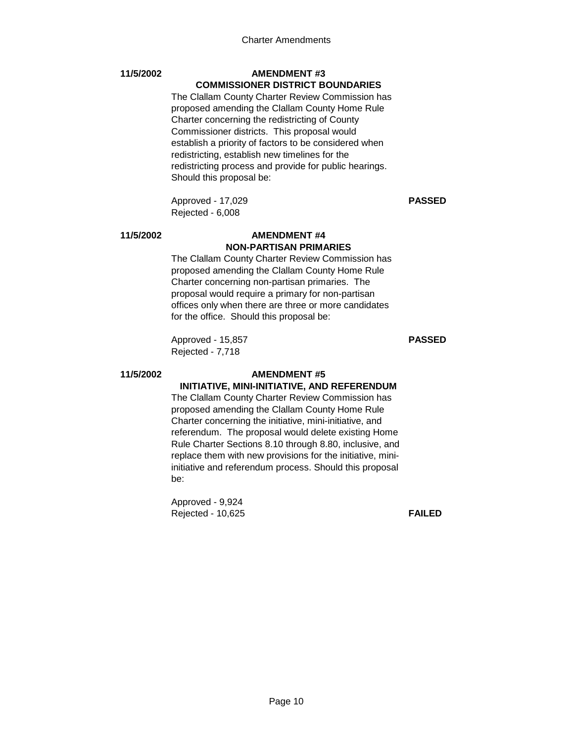# **11/5/2002 AMENDMENT #3 COMMISSIONER DISTRICT BOUNDARIES**

The Clallam County Charter Review Commission has proposed amending the Clallam County Home Rule Charter concerning the redistricting of County Commissioner districts. This proposal would establish a priority of factors to be considered when redistricting, establish new timelines for the redistricting process and provide for public hearings. Should this proposal be:

Approved - 17,029 **PASSED** Rejected - 6,008

### **11/5/2002 AMENDMENT #4**

# **NON-PARTISAN PRIMARIES**

The Clallam County Charter Review Commission has proposed amending the Clallam County Home Rule Charter concerning non-partisan primaries. The proposal would require a primary for non-partisan offices only when there are three or more candidates for the office. Should this proposal be:

Approved - 15,857 **PASSED** Rejected - 7,718

# **11/5/2002 AMENDMENT #5**

# **INITIATIVE, MINI-INITIATIVE, AND REFERENDUM**

The Clallam County Charter Review Commission has proposed amending the Clallam County Home Rule Charter concerning the initiative, mini-initiative, and referendum. The proposal would delete existing Home Rule Charter Sections 8.10 through 8.80, inclusive, and replace them with new provisions for the initiative, miniinitiative and referendum process. Should this proposal be:

Approved - 9,924 Rejected - 10,625 **FAILED**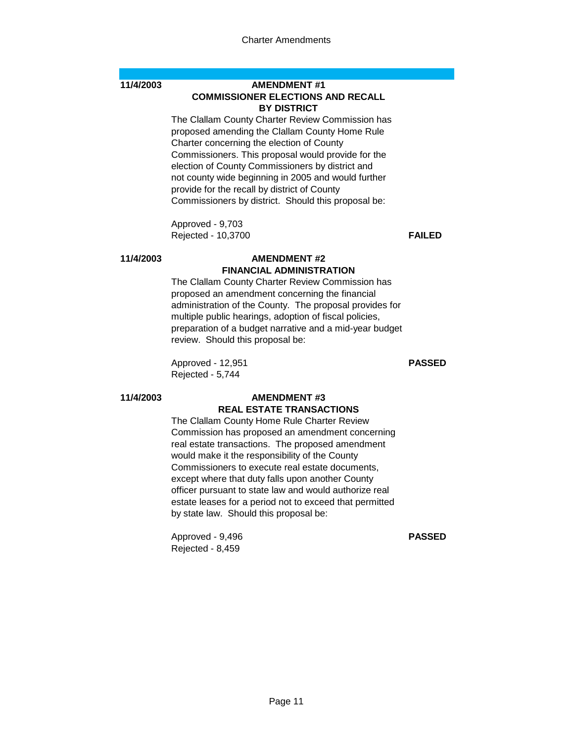### **11/4/2003 AMENDMENT #1 COMMISSIONER ELECTIONS AND RECALL BY DISTRICT**

The Clallam County Charter Review Commission has proposed amending the Clallam County Home Rule Charter concerning the election of County Commissioners. This proposal would provide for the election of County Commissioners by district and not county wide beginning in 2005 and would further provide for the recall by district of County Commissioners by district. Should this proposal be:

Approved - 9,703 Rejected - 10,3700 **FAILED**

# **11/4/2003 AMENDMENT #2 FINANCIAL ADMINISTRATION**

The Clallam County Charter Review Commission has proposed an amendment concerning the financial administration of the County. The proposal provides for multiple public hearings, adoption of fiscal policies, preparation of a budget narrative and a mid-year budget review. Should this proposal be:

Approved - 12,951 **PASSED** Rejected - 5,744

### **11/4/2003 AMENDMENT #3 REAL ESTATE TRANSACTIONS**

The Clallam County Home Rule Charter Review Commission has proposed an amendment concerning real estate transactions. The proposed amendment would make it the responsibility of the County Commissioners to execute real estate documents, except where that duty falls upon another County officer pursuant to state law and would authorize real estate leases for a period not to exceed that permitted by state law. Should this proposal be:

Approved - 9,496 **PASSED** Rejected - 8,459

Page 11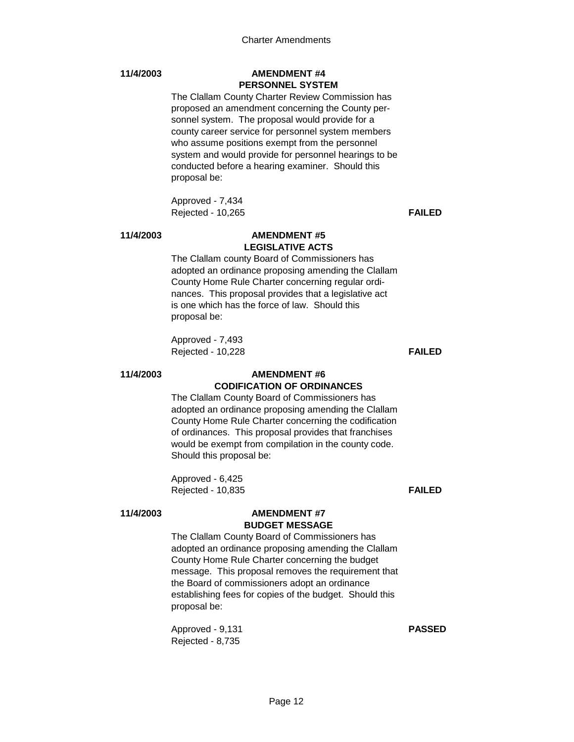# **11/4/2003 AMENDMENT #4 PERSONNEL SYSTEM**

The Clallam County Charter Review Commission has proposed an amendment concerning the County personnel system. The proposal would provide for a county career service for personnel system members who assume positions exempt from the personnel system and would provide for personnel hearings to be conducted before a hearing examiner. Should this proposal be:

Approved - 7,434 Rejected - 10,265 **FAILED**

### **11/4/2003 AMENDMENT #5 LEGISLATIVE ACTS**

The Clallam county Board of Commissioners has adopted an ordinance proposing amending the Clallam County Home Rule Charter concerning regular ordinances. This proposal provides that a legislative act is one which has the force of law. Should this proposal be:

Approved - 7,493 Rejected - 10,228 **FAILED**

### **11/4/2003 AMENDMENT #6 CODIFICATION OF ORDINANCES**

The Clallam County Board of Commissioners has adopted an ordinance proposing amending the Clallam County Home Rule Charter concerning the codification of ordinances. This proposal provides that franchises would be exempt from compilation in the county code. Should this proposal be:

Approved - 6,425 Rejected - 10,835 **FAILED**

### **11/4/2003 AMENDMENT #7 BUDGET MESSAGE**

The Clallam County Board of Commissioners has adopted an ordinance proposing amending the Clallam County Home Rule Charter concerning the budget message. This proposal removes the requirement that the Board of commissioners adopt an ordinance establishing fees for copies of the budget. Should this proposal be:

Approved - 9,131 **PASSED** Rejected - 8,735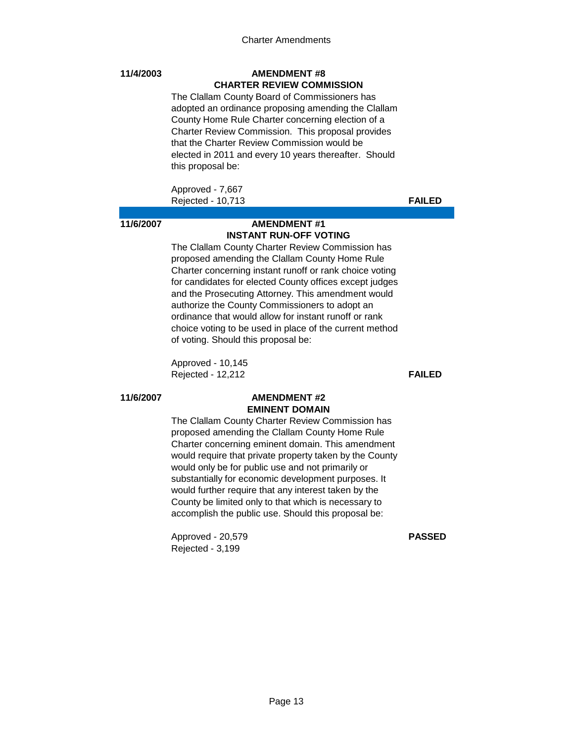### **11/4/2003 AMENDMENT #8 CHARTER REVIEW COMMISSION**

The Clallam County Board of Commissioners has adopted an ordinance proposing amending the Clallam County Home Rule Charter concerning election of a Charter Review Commission. This proposal provides that the Charter Review Commission would be elected in 2011 and every 10 years thereafter. Should this proposal be:

Approved - 7,667 Rejected - 10,713 **FAILED**

# **11/6/2007 AMENDMENT #1 INSTANT RUN-OFF VOTING**

The Clallam County Charter Review Commission has proposed amending the Clallam County Home Rule Charter concerning instant runoff or rank choice voting for candidates for elected County offices except judges and the Prosecuting Attorney. This amendment would authorize the County Commissioners to adopt an ordinance that would allow for instant runoff or rank choice voting to be used in place of the current method of voting. Should this proposal be:

Approved - 10,145 Rejected - 12,212 **FAILED**

### **11/6/2007 AMENDMENT #2 EMINENT DOMAIN**

The Clallam County Charter Review Commission has proposed amending the Clallam County Home Rule Charter concerning eminent domain. This amendment would require that private property taken by the County would only be for public use and not primarily or substantially for economic development purposes. It would further require that any interest taken by the County be limited only to that which is necessary to accomplish the public use. Should this proposal be:

Approved - 20,579 **PASSED** Rejected - 3,199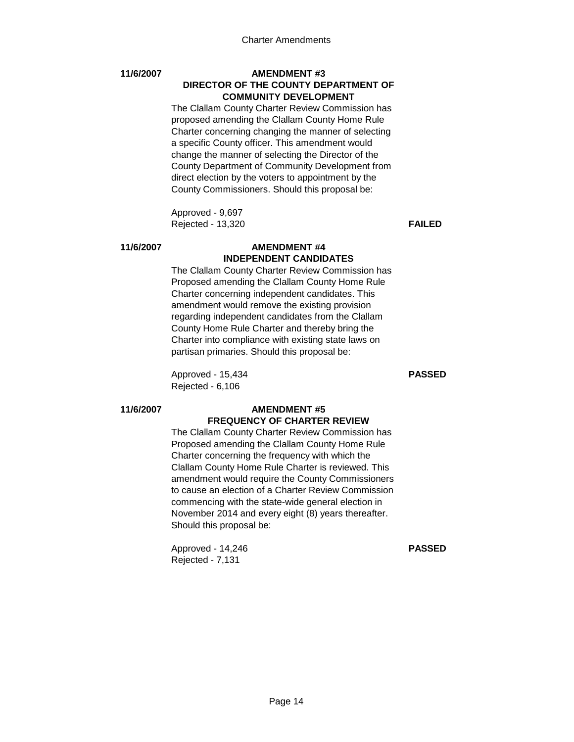### **11/6/2007 AMENDMENT #3 DIRECTOR OF THE COUNTY DEPARTMENT OF COMMUNITY DEVELOPMENT**

The Clallam County Charter Review Commission has proposed amending the Clallam County Home Rule Charter concerning changing the manner of selecting a specific County officer. This amendment would change the manner of selecting the Director of the County Department of Community Development from direct election by the voters to appointment by the County Commissioners. Should this proposal be:

Approved - 9,697 Rejected - 13,320 **FAILED**

### **11/6/2007 AMENDMENT #4 INDEPENDENT CANDIDATES**

The Clallam County Charter Review Commission has Proposed amending the Clallam County Home Rule Charter concerning independent candidates. This amendment would remove the existing provision regarding independent candidates from the Clallam County Home Rule Charter and thereby bring the Charter into compliance with existing state laws on partisan primaries. Should this proposal be:

Approved - 15,434 **PASSED** Rejected - 6,106

# **11/6/2007 AMENDMENT #5 FREQUENCY OF CHARTER REVIEW**

The Clallam County Charter Review Commission has Proposed amending the Clallam County Home Rule Charter concerning the frequency with which the Clallam County Home Rule Charter is reviewed. This amendment would require the County Commissioners to cause an election of a Charter Review Commission commencing with the state-wide general election in November 2014 and every eight (8) years thereafter. Should this proposal be:

Approved - 14,246 **PASSED** Rejected - 7,131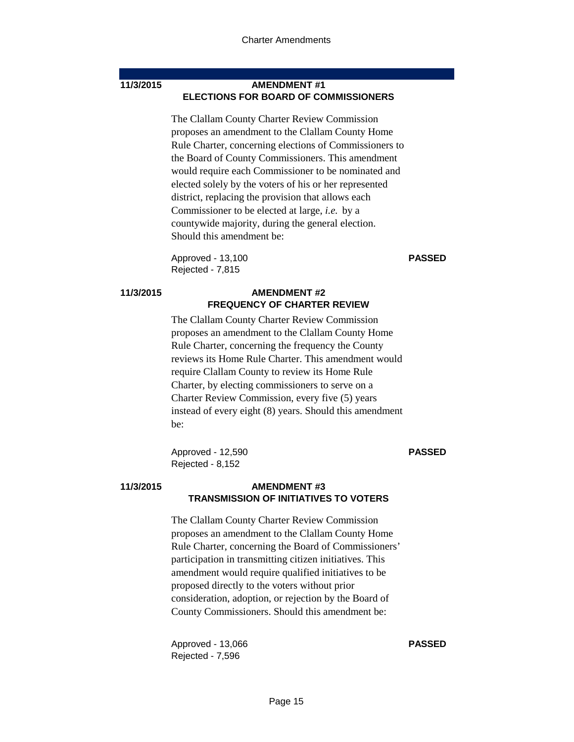### **11/3/2015 AMENDMENT #1 ELECTIONS FOR BOARD OF COMMISSIONERS**

The Clallam County Charter Review Commission proposes an amendment to the Clallam County Home Rule Charter, concerning elections of Commissioners to the Board of County Commissioners. This amendment would require each Commissioner to be nominated and elected solely by the voters of his or her represented district, replacing the provision that allows each Commissioner to be elected at large, *i.e.* by a countywide majority, during the general election. Should this amendment be:

Approved - 13,100 **PASSED** Rejected - 7,815

# **11/3/2015 AMENDMENT #2 FREQUENCY OF CHARTER REVIEW**

The Clallam County Charter Review Commission proposes an amendment to the Clallam County Home Rule Charter, concerning the frequency the County reviews its Home Rule Charter. This amendment would require Clallam County to review its Home Rule Charter, by electing commissioners to serve on a Charter Review Commission, every five (5) years instead of every eight (8) years. Should this amendment be:

Approved - 12,590 **PASSED** Rejected - 8,152

### **11/3/2015 AMENDMENT #3 TRANSMISSION OF INITIATIVES TO VOTERS**

The Clallam County Charter Review Commission proposes an amendment to the Clallam County Home Rule Charter, concerning the Board of Commissioners' participation in transmitting citizen initiatives. This amendment would require qualified initiatives to be proposed directly to the voters without prior consideration, adoption, or rejection by the Board of County Commissioners. Should this amendment be:

Approved - 13,066 **PASSED** Rejected - 7,596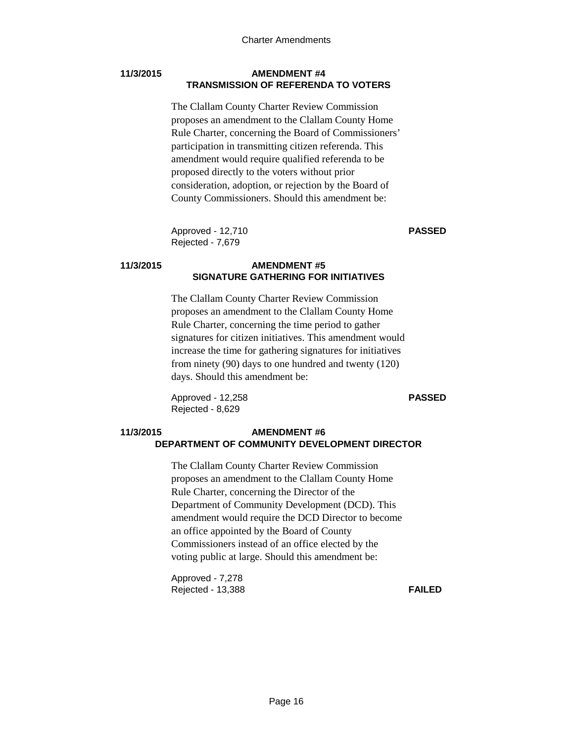### **11/3/2015 AMENDMENT #4 TRANSMISSION OF REFERENDA TO VOTERS**

The Clallam County Charter Review Commission proposes an amendment to the Clallam County Home Rule Charter, concerning the Board of Commissioners' participation in transmitting citizen referenda. This amendment would require qualified referenda to be proposed directly to the voters without prior consideration, adoption, or rejection by the Board of County Commissioners. Should this amendment be:

Approved - 12,710 **PASSED** Rejected - 7,679

# **11/3/2015 AMENDMENT #5 SIGNATURE GATHERING FOR INITIATIVES**

The Clallam County Charter Review Commission proposes an amendment to the Clallam County Home Rule Charter, concerning the time period to gather signatures for citizen initiatives. This amendment would increase the time for gathering signatures for initiatives from ninety (90) days to one hundred and twenty (120) days. Should this amendment be:

Approved - 12,258 **PASSED** Rejected - 8,629

# **11/3/2015 AMENDMENT #6 DEPARTMENT OF COMMUNITY DEVELOPMENT DIRECTOR**

The Clallam County Charter Review Commission proposes an amendment to the Clallam County Home Rule Charter, concerning the Director of the Department of Community Development (DCD). This amendment would require the DCD Director to become an office appointed by the Board of County Commissioners instead of an office elected by the voting public at large. Should this amendment be:

Approved - 7,278 Rejected - 13,388 **FAILED**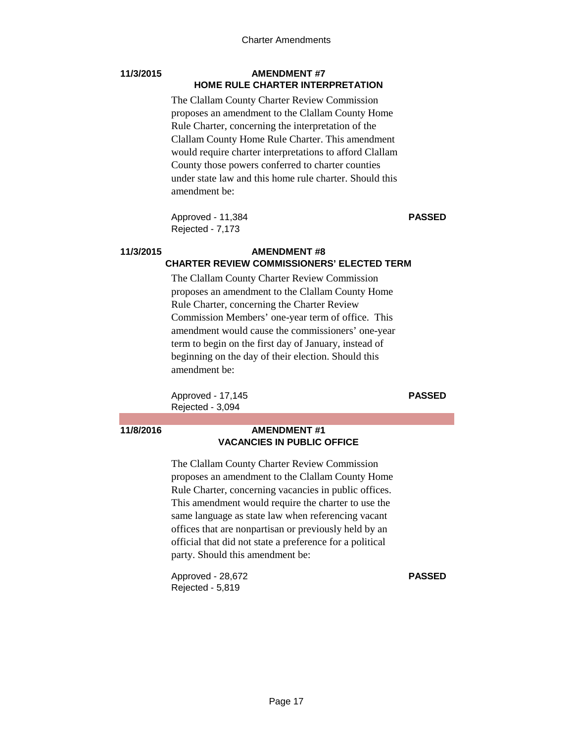### **11/3/2015 AMENDMENT #7 HOME RULE CHARTER INTERPRETATION**

The Clallam County Charter Review Commission proposes an amendment to the Clallam County Home Rule Charter, concerning the interpretation of the Clallam County Home Rule Charter. This amendment would require charter interpretations to afford Clallam County those powers conferred to charter counties under state law and this home rule charter. Should this amendment be:

Approved - 11,384 **PASSED** Rejected - 7,173

# **11/3/2015 AMENDMENT #8 CHARTER REVIEW COMMISSIONERS' ELECTED TERM**

The Clallam County Charter Review Commission proposes an amendment to the Clallam County Home Rule Charter, concerning the Charter Review Commission Members' one-year term of office. This amendment would cause the commissioners' one-year term to begin on the first day of January, instead of beginning on the day of their election. Should this amendment be:

Approved - 17,145 **PASSED** Rejected - 3,094

# **11/8/2016 AMENDMENT #1 VACANCIES IN PUBLIC OFFICE**

The Clallam County Charter Review Commission proposes an amendment to the Clallam County Home Rule Charter, concerning vacancies in public offices. This amendment would require the charter to use the same language as state law when referencing vacant offices that are nonpartisan or previously held by an official that did not state a preference for a political party. Should this amendment be:

Approved - 28,672 **PASSED** Rejected - 5,819